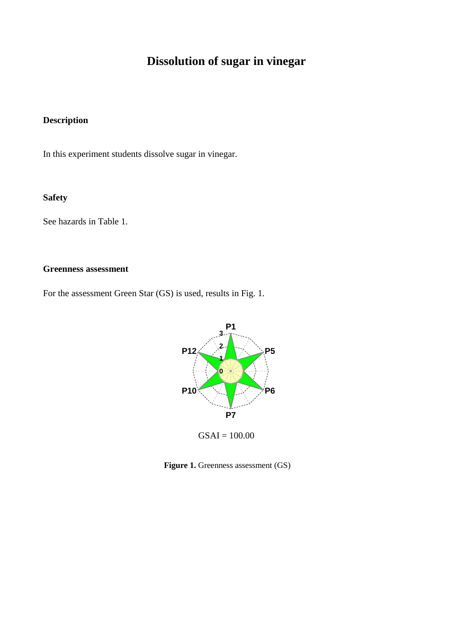# **Dissolution of sugar in vinegar**

## **Description**

In this experiment students dissolve sugar in vinegar.

## **Safety**

See hazards in Table 1.

#### **Greenness assessment**

For the assessment Green Star (GS) is used, results in Fig. 1.



**Figure 1.** Greenness assessment (GS)